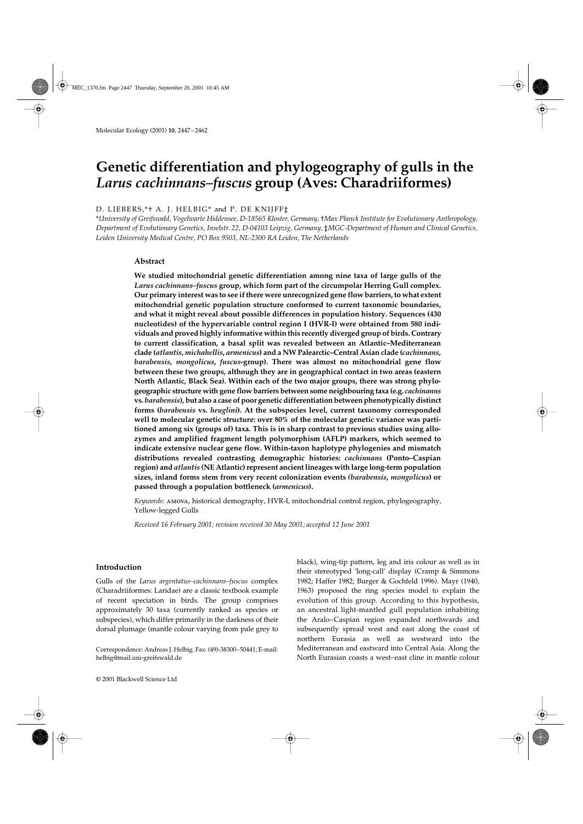# Genetic differentiation and phylogeography of gulls in the *Larus cachinnans–fuscus* **group (Aves: Charadriiformes)**

# D. LIEBERS,\*† A. J. HELBIG\* and P. DE KNIJFF‡

\**University of Greifswald, Vogelwarte Hiddensee, D-18565 Kloster, Germany,* †*Max Planck Institute for Evolutionary Anthropology, Department of Evolutionary Genetics, Inselstr. 22, D-04103 Leipzig, Germany,* ‡*MGC-Department of Human and Clinical Genetics, Leiden University Medical Centre, PO Box 9503, NL-2300 RA Leiden, The Netherlands*

# **Abstract**

**We studied mitochondrial genetic differentiation among nine taxa of large gulls of the** *Larus cachinnans–fuscus* **group, which form part of the circumpolar Herring Gull complex. Our primary interest was to see if there were unrecognized gene flow barriers, to what extent mitochondrial genetic population structure conformed to current taxonomic boundaries, and what it might reveal about possible differences in population history. Sequences (430 nucleotides) of the hypervariable control region I (HVR-I) were obtained from 580 individuals and proved highly informative within this recently diverged group of birds. Contrary to current classification, a basal split was revealed between an Atlantic–Mediterranean clade (***atlantis***,** *michahellis***,** *armenicus***) and a NW Palearctic–Central Asian clade (***cachinnans***,** *barabensis***,** *mongolicus***,** *fuscus***-group). There was almost no mitochondrial gene flow between these two groups, although they are in geographical contact in two areas (eastern North Atlantic, Black Sea). Within each of the two major groups, there was strong phylogeographic structure with gene flow barriers between some neighbouring taxa (e.g.** *cachinanns* **vs.** *barabensis***), but also a case of poor genetic differentiation between phenotypically distinct forms (***barabensis* **vs.** *heuglini***). At the subspecies level, current taxonomy corresponded well to molecular genetic structure: over 80% of the molecular genetic variance was partitioned among six (groups of) taxa. This is in sharp contrast to previous studies using allozymes and amplified fragment length polymorphism (AFLP) markers, which seemed to indicate extensive nuclear gene flow. Within-taxon haplotype phylogenies and mismatch distributions revealed contrasting demographic histories:** *cachinnans* **(Ponto–Caspian region) and** *atlantis* **(NE Atlantic) represent ancient lineages with large long-term population sizes, inland forms stem from very recent colonization events** *(barabensis***,** *mongolicus***) or passed through a population bottleneck (***armenicus***).**

*Keywords*: amova, historical demography, HVR-I, mitochondrial control region, phylogeography, Yellow-legged Gulls

*Received 16 February 2001; revision received 30 May 2001; accepted 12 June 2001*

## **Introduction**

Gulls of the *Larus argentatus–cachinnans–fuscus* complex (Charadriiformes: Laridae) are a classic textbook example of recent speciation in birds. The group comprises approximately 30 taxa (currently ranked as species or subspecies), which differ primarily in the darkness of their dorsal plumage (mantle colour varying from pale grey to

Correspondence: Andreas J. Helbig. Fax: (49)-38300–50441; E-mail: helbig@mail.uni-greifswald.de

© 2001 Blackwell Science Ltd

black), wing-tip pattern, leg and iris colour as well as in their stereotyped 'long-call' display (Cramp & Simmons 1982; Haffer 1982; Burger & Gochfeld 1996). Mayr (1940, 1963) proposed the ring species model to explain the evolution of this group. According to this hypothesis, an ancestral light-mantled gull population inhabiting the Aralo–Caspian region expanded northwards and subsequently spread west and east along the coast of northern Eurasia as well as westward into the Mediterranean and eastward into Central Asia. Along the North Eurasian coasts a west–east cline in mantle colour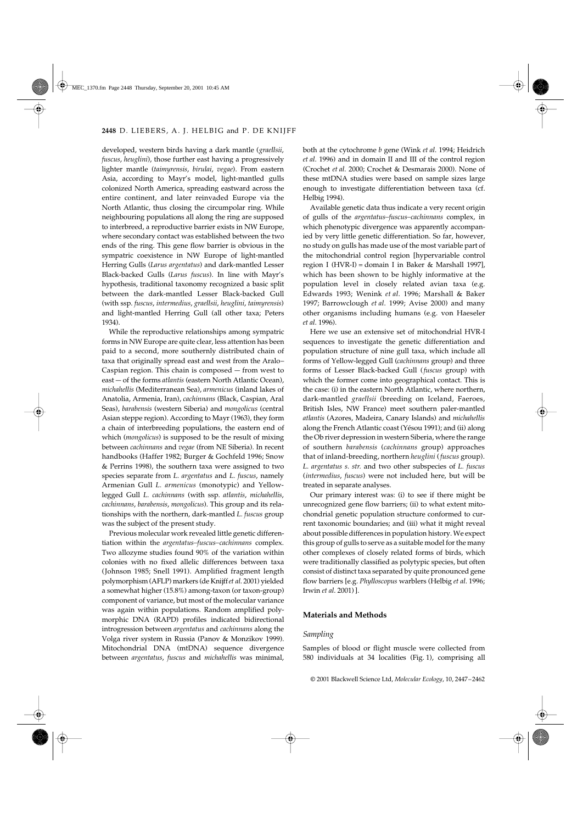developed, western birds having a dark mantle (*graellsii*, *fuscus*, *heuglini*), those further east having a progressively lighter mantle (*taimyrensis*, *birulai*, *vegae*). From eastern Asia, according to Mayr's model, light-mantled gulls colonized North America, spreading eastward across the entire continent, and later reinvaded Europe via the North Atlantic, thus closing the circumpolar ring. While neighbouring populations all along the ring are supposed to interbreed, a reproductive barrier exists in NW Europe, where secondary contact was established between the two ends of the ring. This gene flow barrier is obvious in the sympatric coexistence in NW Europe of light-mantled Herring Gulls (*Larus argentatus*) and dark-mantled Lesser Black-backed Gulls (*Larus fuscus*). In line with Mayr's hypothesis, traditional taxonomy recognized a basic split between the dark-mantled Lesser Black-backed Gull (with ssp. *fuscus*, *intermedius*, *graellsii*, *heuglini*, *taimyrensis*) and light-mantled Herring Gull (all other taxa; Peters 1934).

While the reproductive relationships among sympatric forms in NW Europe are quite clear, less attention has been paid to a second, more southernly distributed chain of taxa that originally spread east and west from the Aralo– Caspian region. This chain is composed — from west to east — of the forms *atlantis* (eastern North Atlantic Ocean), *michahellis* (Mediterranean Sea), *armenicus* (inland lakes of Anatolia, Armenia, Iran), *cachinnans* (Black, Caspian, Aral Seas), *barabensis* (western Siberia) and *mongolicus* (central Asian steppe region). According to Mayr (1963), they form a chain of interbreeding populations, the eastern end of which (*mongolicus*) is supposed to be the result of mixing between *cachinnans* and *vegae* (from NE Siberia). In recent handbooks (Haffer 1982; Burger & Gochfeld 1996; Snow & Perrins 1998), the southern taxa were assigned to two species separate from *L. argentatus* and *L. fuscus*, namely Armenian Gull *L. armenicus* (monotypic) and Yellowlegged Gull *L. cachinnans* (with ssp. *atlantis*, *michahellis*, *cachinnans*, *barabensis*, *mongolicus*). This group and its relationships with the northern, dark-mantled *L. fuscus* group was the subject of the present study.

Previous molecular work revealed little genetic differentiation within the *argentatus–fuscus–cachinnans* complex. Two allozyme studies found 90% of the variation within colonies with no fixed allelic differences between taxa (Johnson 1985; Snell 1991). Amplified fragment length polymorphism (AFLP) markers (de Knijff *et al*. 2001) yielded a somewhat higher (15.8%) among-taxon (or taxon-group) component of variance, but most of the molecular variance was again within populations. Random amplified polymorphic DNA (RAPD) profiles indicated bidirectional introgression between *argentatus* and *cachinnans* along the Volga river system in Russia (Panov & Monzikov 1999). Mitochondrial DNA (mtDNA) sequence divergence between *argentatus*, *fuscus* and *michahellis* was minimal,

both at the cytochrome *b* gene (Wink *et al*. 1994; Heidrich *et al*. 1996) and in domain II and III of the control region (Crochet *et al*. 2000; Crochet & Desmarais 2000). None of these mtDNA studies were based on sample sizes large enough to investigate differentiation between taxa (cf. Helbig 1994).

Available genetic data thus indicate a very recent origin of gulls of the *argentatus–fuscus–cachinnans* complex, in which phenotypic divergence was apparently accompanied by very little genetic differentiation. So far, however, no study on gulls has made use of the most variable part of the mitochondrial control region [hypervariable control region I (HVR-I) = domain I in Baker & Marshall 1997], which has been shown to be highly informative at the population level in closely related avian taxa (e.g. Edwards 1993; Wenink *et al*. 1996; Marshall & Baker 1997; Barrowclough *et al*. 1999; Avise 2000) and many other organisms including humans (e.g. von Haeseler *et al*. 1996).

Here we use an extensive set of mitochondrial HVR-I sequences to investigate the genetic differentiation and population structure of nine gull taxa, which include all forms of Yellow-legged Gull (*cachinnans* group) and three forms of Lesser Black-backed Gull (*fuscus* group) with which the former come into geographical contact. This is the case: (i) in the eastern North Atlantic, where northern, dark-mantled *graellsii* (breeding on Iceland, Faeroes, British Isles, NW France) meet southern paler-mantled *atlantis* (Azores, Madeira, Canary Islands) and *michahellis* along the French Atlantic coast (Yésou 1991); and (ii) along the Ob river depression in western Siberia, where the range of southern *barabensis* (*cachinnans* group) approaches that of inland-breeding, northern *heuglini* (*fuscus* group). *L. argentatus s. str.* and two other subspecies of *L. fuscus* (*intermedius*, *fuscus*) were not included here, but will be treated in separate analyses.

Our primary interest was: (i) to see if there might be unrecognized gene flow barriers; (ii) to what extent mitochondrial genetic population structure conformed to current taxonomic boundaries; and (iii) what it might reveal about possible differences in population history. We expect this group of gulls to serve as a suitable model for the many other complexes of closely related forms of birds, which were traditionally classified as polytypic species, but often consist of distinct taxa separated by quite pronounced gene flow barriers [e.g. *Phylloscopus* warblers (Helbig *et al*. 1996; Irwin *et al*. 2001) ].

## **Materials and Methods**

## *Sampling*

Samples of blood or flight muscle were collected from 580 individuals at 34 localities (Fig. 1), comprising all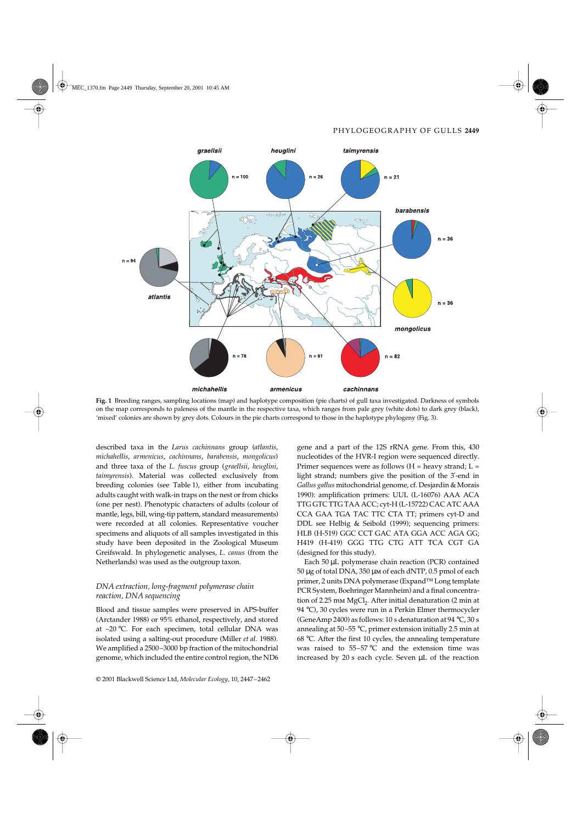

**Fig. 1** Breeding ranges, sampling locations (map) and haplotype composition (pie charts) of gull taxa investigated. Darkness of symbols on the map corresponds to paleness of the mantle in the respective taxa, which ranges from pale grey (white dots) to dark grey (black), 'mixed' colonies are shown by grey dots. Colours in the pie charts correspond to those in the haplotype phylogeny (Fig. 3).

described taxa in the *Larus cachinnans* group (*atlantis*, *michahellis*, *armenicus*, *cachinnans*, *barabensis*, *mongolicus*) and three taxa of the *L. fuscus* group (*graellsii*, *heuglini*, *taimyrensis*). Material was collected exclusively from breeding colonies (see Table 1), either from incubating adults caught with walk-in traps on the nest or from chicks (one per nest). Phenotypic characters of adults (colour of mantle, legs, bill, wing-tip pattern, standard measurements) were recorded at all colonies. Representative voucher specimens and aliquots of all samples investigated in this study have been deposited in the Zoological Museum Greifswald. In phylogenetic analyses, *L. canus* (from the Netherlands) was used as the outgroup taxon.

# *DNA extraction, long-fragment polymerase chain reaction, DNA sequencing*

Blood and tissue samples were preserved in APS-buffer (Arctander 1988) or 95% ethanol, respectively, and stored at –20 °C. For each specimen, total cellular DNA was isolated using a salting-out procedure (Miller *et al*. 1988). We amplified a 2500–3000 bp fraction of the mitochondrial genome, which included the entire control region, the ND6

gene and a part of the 12S rRNA gene. From this, 430 nucleotides of the HVR-I region were sequenced directly. Primer sequences were as follows  $(H =$  heavy strand;  $L =$ light strand; numbers give the position of the 3′-end in *Gallus gallus* mitochondrial genome, cf. Desjardin & Morais 1990): amplification primers: UUL (L-16076) AAA ACA TTG GTC TTG TAA ACC; cyt-H (L-15722) CAC ATC AAA CCA GAA TGA TAC TTC CTA TT; primers cyt-D and DDL see Helbig & Seibold (1999); sequencing primers: HLB (H-519) GGC CCT GAC ATA GGA ACC AGA GG; H419 (H-419) GGG TTG CTG ATT TCA CGT GA (designed for this study).

Each 50 µL polymerase chain reaction (PCR) contained 50 µg of total DNA, 350 µm of each dNTP, 0.5 pmol of each primer, 2 units DNA polymerase (Expand™ Long template PCR System, Boehringer Mannheim) and a final concentration of 2.25 mm  $MgCl<sub>2</sub>$ . After initial denaturation (2 min at 94 °C), 30 cycles were run in a Perkin Elmer thermocycler (GeneAmp 2400) as follows: 10 s denaturation at 94 °C, 30 s annealing at 50–55 °C, primer extension initially 2.5 min at 68 °C. After the first 10 cycles, the annealing temperature was raised to 55–57 °C and the extension time was increased by 20 s each cycle. Seven µL of the reaction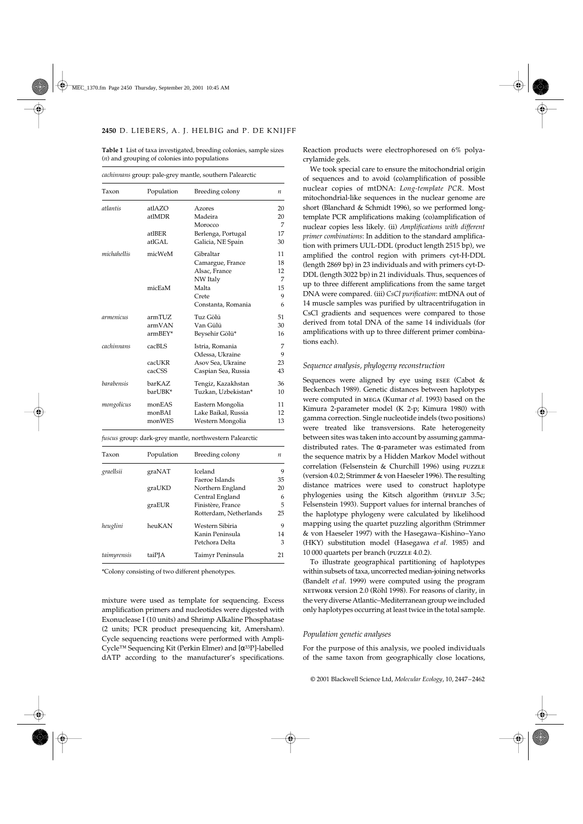**Table 1** List of taxa investigated, breeding colonies, sample sizes (*n*) and grouping of colonies into populations

| Taxon       | Population | Breeding colony     | $\boldsymbol{n}$ |
|-------------|------------|---------------------|------------------|
| atlantis    | atlAZO     | <b>Azores</b>       | 20               |
|             | atlMDR     | Madeira             | 20               |
|             |            | Morocco             | 7                |
|             | atlBER     | Berlenga, Portugal  | 17               |
|             | atlGAL     | Galicia, NE Spain   | 30               |
| michahellis | micWeM     | Gibraltar           | 11               |
|             |            | Camargue, France    | 18               |
|             |            | Alsac, France       | 12               |
|             |            | NW Italy            | 7                |
|             | micEaM     | Malta               | 15               |
|             |            | Crete               | 9                |
|             |            | Constanta, Romania  | 6                |
| armenicus   | armTUZ     | Tuz Gölü            | 51               |
|             | armVAN     | Van Gülü            | 30               |
|             | armBEY*    | Beysehir Gölü*      | 16               |
| cachinnans  | cacBLS     | Istria, Romania     | 7                |
|             |            | Odessa, Ukraine     | 9                |
|             | cacUKR     | Asov Sea, Ukraine   | 23               |
|             | cacCSS     | Caspian Sea, Russia | 43               |
| barabensis  | barKAZ     | Tengiz, Kazakhstan  | 36               |
|             | barUBK*    | Tuzkan, Uzbekistan* | 10               |
| mongolicus  | monEAS     | Eastern Mongolia    | 11               |
|             | monBAI     | Lake Baikal, Russia | 12               |
|             | monWES     | Western Mongolia    | 13               |

*cachinnans* group: pale-grey mantle, southern Palearctic

*fuscus* group: dark-grey mantle, northwestern Palearctic

| Taxon       | Population | Breeding colony        | n  |
|-------------|------------|------------------------|----|
| graellsii   | graNAT     | <b>Iceland</b>         | 9  |
|             |            | Faeroe Islands         | 35 |
|             | graUKD     | Northern England       | 20 |
|             |            | Central England        | 6  |
|             | graEUR     | Finistère, France      | 5  |
|             |            | Rotterdam, Netherlands | 25 |
| heuglini    | heuKAN     | Western Sibiria        | 9  |
|             |            | Kanin Peninsula        | 14 |
|             |            | Petchora Delta         | 3  |
| taimyrensis | taiPJA     | Taimyr Peninsula       | 21 |

\*Colony consisting of two different phenotypes.

mixture were used as template for sequencing. Excess amplification primers and nucleotides were digested with Exonuclease I (10 units) and Shrimp Alkaline Phosphatase (2 units; PCR product presequencing kit, Amersham). Cycle sequencing reactions were performed with Ampli-Cycle™ Sequencing Kit (Perkin Elmer) and [α33P]-labelled dATP according to the manufacturer's specifications.

Reaction products were electrophoresed on 6% polyacrylamide gels.

We took special care to ensure the mitochondrial origin of sequences and to avoid (co)amplification of possible nuclear copies of mtDNA: *Long-template PCR*. Most mitochondrial-like sequences in the nuclear genome are short (Blanchard & Schmidt 1996), so we performed longtemplate PCR amplifications making (co)amplification of nuclear copies less likely. (ii) *Amplifications with different primer combinations*: In addition to the standard amplification with primers UUL-DDL (product length 2515 bp), we amplified the control region with primers cyt-H-DDL (length 2869 bp) in 23 individuals and with primers cyt-D-DDL (length 3022 bp) in 21 individuals. Thus, sequences of up to three different amplifications from the same target DNA were compared. (iii) *CsCl purification*: mtDNA out of 14 muscle samples was purified by ultracentrifugation in CsCl gradients and sequences were compared to those derived from total DNA of the same 14 individuals (for amplifications with up to three different primer combinations each).

## *Sequence analysis, phylogeny reconstruction*

Sequences were aligned by eye using ESEE (Cabot & Beckenbach 1989). Genetic distances between haplotypes were computed in mega (Kumar *et al*. 1993) based on the Kimura 2-parameter model (K 2-p; Kimura 1980) with gamma correction. Single nucleotide indels (two positions) were treated like transversions. Rate heterogeneity between sites was taken into account by assuming gammadistributed rates. The  $\alpha$ -parameter was estimated from the sequence matrix by a Hidden Markov Model without correlation (Felsenstein & Churchill 1996) using puzzle (version 4.0.2; Strimmer & von Haeseler 1996). The resulting distance matrices were used to construct haplotype phylogenies using the Kitsch algorithm (PHYLIP 3.5c; Felsenstein 1993). Support values for internal branches of the haplotype phylogeny were calculated by likelihood mapping using the quartet puzzling algorithm (Strimmer & von Haeseler 1997) with the Hasegawa–Kishino–Yano (HKY) substitution model (Hasegawa *et al*. 1985) and 10 000 quartets per branch (puzzle 4.0.2).

To illustrate geographical partitioning of haplotypes within subsets of taxa, uncorrected median-joining networks (Bandelt *et al*. 1999) were computed using the program network version 2.0 (Röhl 1998). For reasons of clarity, in the very diverse Atlantic–Mediterranean group we included only haplotypes occurring at least twice in the total sample.

#### *Population genetic analyses*

For the purpose of this analysis, we pooled individuals of the same taxon from geographically close locations,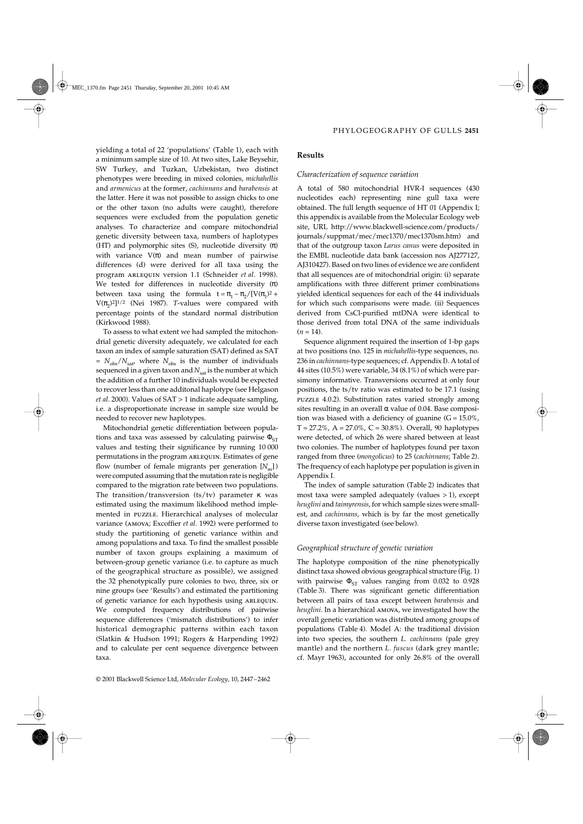yielding a total of 22 'populations' (Table 1), each with a minimum sample size of 10. At two sites, Lake Beysehir, SW Turkey, and Tuzkan, Uzbekistan, two distinct phenotypes were breeding in mixed colonies, *michahellis* and *armenicus* at the former, *cachinnans* and *barabensis* at the latter. Here it was not possible to assign chicks to one or the other taxon (no adults were caught), therefore sequences were excluded from the population genetic analyses. To characterize and compare mitochondrial genetic diversity between taxa, numbers of haplotypes (HT) and polymorphic sites (S), nucleotide diversity (π) with variance  $V(\pi)$  and mean number of pairwise differences (d) were derived for all taxa using the program arlequin version 1.1 (Schneider *et al*. 1998). We tested for differences in nucleotide diversity  $(\pi)$ between taxa using the formula  $t = \pi_1 - \pi_2/[V(\pi_1)^2 +$ V $(\pi_2)^2$ <sup>1/2</sup> (Nei 1987). *T*-values were compared with percentage points of the standard normal distribution (Kirkwood 1988).

To assess to what extent we had sampled the mitochondrial genetic diversity adequately, we calculated for each taxon an index of sample saturation (SAT) defined as SAT  $= N_{\text{obs}}/N_{\text{sat}}$ , where  $N_{\text{obs}}$  is the number of individuals sequenced in a given taxon and  $N_{\text{sat}}$  is the number at which the addition of a further 10 individuals would be expected to recover less than one additonal haplotype (see Helgason *et al*. 2000). Values of SAT > 1 indicate adequate sampling, i.e. a disproportionate increase in sample size would be needed to recover new haplotypes.

Mitochondrial genetic differentiation between populations and taxa was assessed by calculating pairwise  $\Phi_{ST}$ values and testing their significance by running 10 000 permutations in the program ARLEQUIN. Estimates of gene flow (number of female migrants per generation  $[N_m]$ ) were computed assuming that the mutation rate is negligible compared to the migration rate between two populations. The transition/transversion (ts/tv) parameter κ was estimated using the maximum likelihood method implemented in puzzle. Hierarchical analyses of molecular variance (amova; Excoffier *et al*. 1992) were performed to study the partitioning of genetic variance within and among populations and taxa. To find the smallest possible number of taxon groups explaining a maximum of between-group genetic variance (i.e. to capture as much of the geographical structure as possible), we assigned the 32 phenotypically pure colonies to two, three, six or nine groups (see 'Results') and estimated the partitioning of genetic variance for each hypothesis using ARLEQUIN. We computed frequency distributions of pairwise sequence differences ('mismatch distributions') to infer historical demographic patterns within each taxon (Slatkin & Hudson 1991; Rogers & Harpending 1992) and to calculate per cent sequence divergence between taxa.

# **Results**

### *Characterization of sequence variation*

A total of 580 mitochondrial HVR-I sequences (430 nucleotides each) representing nine gull taxa were obtained. The full length sequence of HT 01 (Appendix I; this appendix is available from the Molecular Ecology web site, URL http://www.blackwell-science.com/products/ journals/suppmat/mec/mec1370/mec1370sm.htm) and that of the outgroup taxon *Larus canus* were deposited in the EMBL nucleotide data bank (accession nos AJ277127, AJ310427). Based on two lines of evidence we are confident that all sequences are of mitochondrial origin: (i) separate amplifications with three different primer combinations yielded identical sequences for each of the 44 individuals for which such comparisons were made. (ii) Sequences derived from CsCl-purified mtDNA were identical to those derived from total DNA of the same individuals  $(n = 14)$ .

Sequence alignment required the insertion of 1-bp gaps at two positions (no. 125 in *michahellis*-type sequences, no. 236 in *cachinnans*-type sequences; cf. Appendix I). A total of 44 sites (10.5%) were variable, 34 (8.1%) of which were parsimony informative. Transversions occurred at only four positions, the ts/tv ratio was estimated to be 17.1 (using puzzle 4.0.2). Substitution rates varied strongly among sites resulting in an overall  $\alpha$  value of 0.04. Base composition was biased with a deficiency of guanine  $(G = 15.0\%$ ,  $T = 27.2\%, A = 27.0\%, C = 30.8\%).$  Overall, 90 haplotypes were detected, of which 26 were shared between at least two colonies. The number of haplotypes found per taxon ranged from three (*mongolicus*) to 25 (*cachinnans*; Table 2). The frequency of each haplotype per population is given in Appendix I.

The index of sample saturation (Table 2) indicates that most taxa were sampled adequately (values > 1), except *heuglini* and *taimyrensis*, for which sample sizes were smallest, and *cachinnans*, which is by far the most genetically diverse taxon investigated (see below).

## *Geographical structure of genetic variation*

The haplotype composition of the nine phenotypically distinct taxa showed obvious geographical structure (Fig. 1) with pairwise  $\Phi_{ST}$  values ranging from 0.032 to 0.928 (Table 3). There was significant genetic differentiation between all pairs of taxa except between *barabensis* and *heuglini*. In a hierarchical amova, we investigated how the overall genetic variation was distributed among groups of populations (Table 4). Model A: the traditional division into two species, the southern *L. cachinnans* (pale grey mantle) and the northern *L. fuscus* (dark grey mantle; cf. Mayr 1963), accounted for only 26.8% of the overall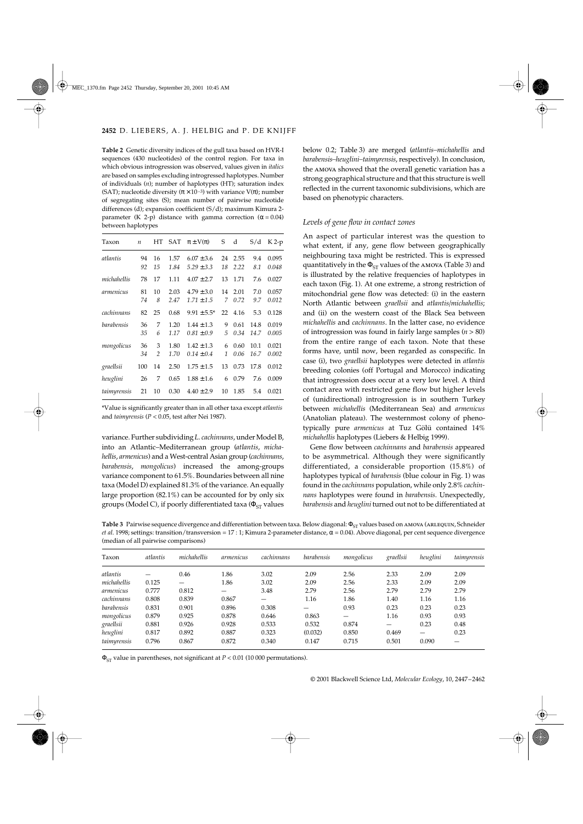**Table 2** Genetic diversity indices of the gull taxa based on HVR-I sequences (430 nucleotides) of the control region. For taxa in which obvious introgression was observed, values given in *italics* are based on samples excluding introgressed haplotypes. Number of individuals (*n*); number of haplotypes (HT); saturation index (SAT); nucleotide diversity ( $\pi \times 10^{-3}$ ) with variance V( $\pi$ ); number of segregating sites (S); mean number of pairwise nucleotide differences (d); expansion coefficient (S/d); maximum Kimura 2 parameter (K 2-p) distance with gamma correction ( $\alpha$  = 0.04) between haplotypes

| Taxon       | $\boldsymbol{n}$ | HT             | SAT  | $\pi \pm V(\pi)$ | S  | d    | S/d  | $K2-p$ |
|-------------|------------------|----------------|------|------------------|----|------|------|--------|
|             |                  |                |      |                  |    |      |      |        |
| atlantis    | 94               | 16             | 1.57 | $6.07 \pm 3.6$   | 24 | 2.55 | 9.4  | 0.095  |
|             | 92               | 15             | 1.84 | $5.29 \pm 3.3$   | 18 | 2.22 | 8.1  | 0.048  |
| michahellis | 78               | 17             | 1.11 | $4.07 \pm 2.7$   | 13 | 1.71 | 7.6  | 0.027  |
| armenicus   | 81               | 10             | 2.03 | $4.79 \pm 3.0$   | 14 | 2.01 | 7.0  | 0.057  |
|             | 74               | 8              | 2.47 | $1.71 \pm 1.5$   | 7  | 0.72 | 9.7  | 0.012  |
| cachinnans  | 82               | 25             | 0.68 | $9.91 \pm 5.5^*$ | 22 | 4.16 | 5.3  | 0.128  |
| barabensis  | 36               | 7              | 1.20 | $1.44 \pm 1.3$   | 9  | 0.61 | 14.8 | 0.019  |
|             | 35               | 6              | 1.17 | $0.81 \pm 0.9$   | 5  | 0.34 | 14.7 | 0.005  |
| mongolicus  | 36               | 3              | 1.80 | $1.42 \pm 1.3$   | 6  | 0.60 | 10.1 | 0.021  |
|             | 34               | $\overline{2}$ | 1.70 | $0.14 \pm 0.4$   | 1  | 0.06 | 16.7 | 0.002  |
| graellsii   | 100              | 14             | 2.50 | $1.75 \pm 1.5$   | 13 | 0.73 | 17.8 | 0.012  |
| heuglini    | 26               | 7              | 0.65 | $1.88 \pm 1.6$   | 6  | 0.79 | 7.6  | 0.009  |
| taimyrensis | 21               | 10             | 0.30 | $4.40 \pm 2.9$   | 10 | 1.85 | 5.4  | 0.021  |

\*Value is significantly greater than in all other taxa except *atlantis* and *taimyrensis* (*P* < 0.05, test after Nei 1987).

variance. Further subdividing *L. cachinnans*, under Model B, into an Atlantic–Mediterranean group (*atlantis*, *michahellis*, *armenicus*) and a West-central Asian group (*cachinnans*, *barabensis*, *mongolicus*) increased the among-groups variance component to 61.5%. Boundaries between all nine taxa (Model D) explained 81.3% of the variance. An equally large proportion (82.1%) can be accounted for by only six groups (Model C), if poorly differentiated taxa ( $\Phi_{ST}$  values

below 0.2; Table 3) are merged (*atlantis–michahellis* and *barabensis–heuglini–taimyrensis*, respectively). In conclusion, the amova showed that the overall genetic variation has a strong geographical structure and that this structure is well reflected in the current taxonomic subdivisions, which are based on phenotypic characters.

## *Levels of gene flow in contact zones*

An aspect of particular interest was the question to what extent, if any, gene flow between geographically neighbouring taxa might be restricted. This is expressed quantitatively in the  $\Phi_{ST}$  values of the AMOVA (Table 3) and is illustrated by the relative frequencies of haplotypes in each taxon (Fig. 1). At one extreme, a strong restriction of mitochondrial gene flow was detected: (i) in the eastern North Atlantic between *graellsii* and *atlantis/michahellis*; and (ii) on the western coast of the Black Sea between *michahellis* and *cachinnans*. In the latter case, no evidence of introgression was found in fairly large samples (*n* > 80) from the entire range of each taxon. Note that these forms have, until now, been regarded as conspecific. In case (i), two *graellsii* haplotypes were detected in *atlantis* breeding colonies (off Portugal and Morocco) indicating that introgression does occur at a very low level. A third contact area with restricted gene flow but higher levels of (unidirectional) introgression is in southern Turkey between *michahellis* (Mediterranean Sea) and *armenicus* (Anatolian plateau). The westernmost colony of phenotypically pure *armenicus* at Tuz Gölü contained 14% *michahellis* haplotypes (Liebers & Helbig 1999).

Gene flow between *cachinnans* and *barabensis* appeared to be asymmetrical. Although they were significantly differentiated, a considerable proportion (15.8%) of haplotypes typical of *barabensis* (blue colour in Fig. 1) was found in the *cachinnans* population, while only 2.8% *cachinnans* haplotypes were found in *barabensis*. Unexpectedly, *barabensis* and *heuglini* turned out not to be differentiated at

Table 3 Pairwise sequence divergence and differentiation between taxa. Below diagonal: Φ<sub>ST</sub> values based on AMOVA (ARLEQUIN, Schneider *et al.* 1998; settings: transition/transversion = 17 : 1; Kimura 2-parameter distance, α = 0.04). Above diagonal, per cent sequence divergence (median of all pairwise comparisons)

| Taxon       | atlantis | michahellis | armenicus                | cachinnans               | barabensis | mongolicus | graellsii | heuglini                 | taimyrensis |
|-------------|----------|-------------|--------------------------|--------------------------|------------|------------|-----------|--------------------------|-------------|
| atlantis    |          | 0.46        | 1.86                     | 3.02                     | 2.09       | 2.56       | 2.33      | 2.09                     | 2.09        |
| michahellis | 0.125    | —           | 1.86                     | 3.02                     | 2.09       | 2.56       | 2.33      | 2.09                     | 2.09        |
| armenicus   | 0.777    | 0.812       | $\overline{\phantom{m}}$ | 3.48                     | 2.79       | 2.56       | 2.79      | 2.79                     | 2.79        |
| cachinnans  | 0.808    | 0.839       | 0.867                    | $\overline{\phantom{0}}$ | 1.16       | 1.86       | 1.40      | 1.16                     | 1.16        |
| barabensis  | 0.831    | 0.901       | 0.896                    | 0.308                    |            | 0.93       | 0.23      | 0.23                     | 0.23        |
| mongolicus  | 0.879    | 0.925       | 0.878                    | 0.646                    | 0.863      | —          | 1.16      | 0.93                     | 0.93        |
| graellsii   | 0.881    | 0.926       | 0.928                    | 0.533                    | 0.532      | 0.874      | —         | 0.23                     | 0.48        |
| heuglini    | 0.817    | 0.892       | 0.887                    | 0.323                    | (0.032)    | 0.850      | 0.469     | $\overline{\phantom{0}}$ | 0.23        |
| taimyrensis | 0.796    | 0.867       | 0.872                    | 0.340                    | 0.147      | 0.715      | 0.501     | 0.090                    | —           |

ΦST value in parentheses, not significant at *P* < 0.01 (10 000 permutations).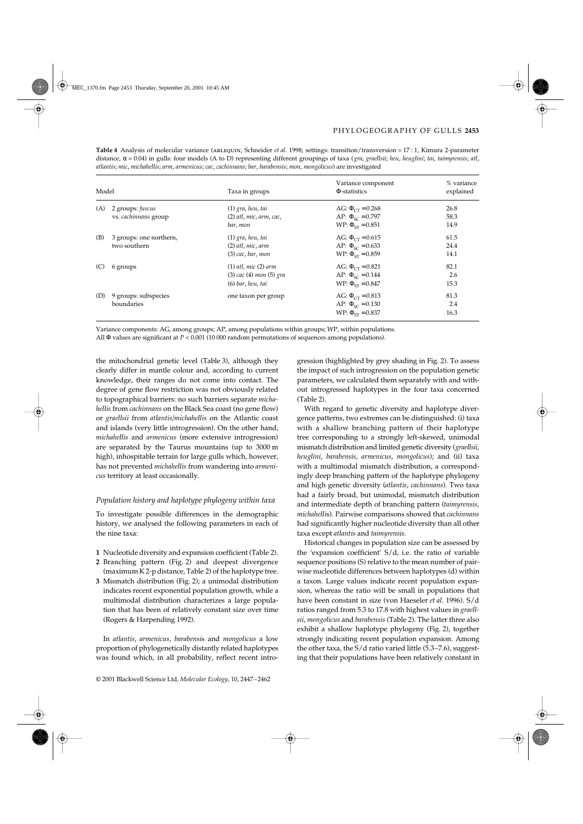| Model |                                          | Taxa in groups                                                                   | Variance component<br>Φ-statistics                                                | % variance<br>explained |
|-------|------------------------------------------|----------------------------------------------------------------------------------|-----------------------------------------------------------------------------------|-------------------------|
| (A)   | 2 groups: fuscus<br>vs. cachinnans group | $(1)$ gra, heu, tai<br>$(2)$ atl, mic, arm, cac,<br>bar, mon                     | AG: $\Phi_{CT} = 0.268$<br>AP: $\Phi_{SC} = 0.797$<br>WP: $\Phi_{ST} = 0.851$     | 26.8<br>58.3<br>14.9    |
| (B)   | 3 groups: one northern,<br>two southern  | $(1)$ gra, heu, tai<br>$(2)$ atl, mic, arm<br>$(3)$ cac, bar, mon                | AG: $\Phi_{CT} = 0.615$<br>AP: $\Phi_{SC} = 0.633$<br>$WP: \Phi_{\rm cr} = 0.859$ | 61.5<br>24.4<br>14.1    |
| (C)   | 6 groups                                 | $(1)$ atl, mic $(2)$ arm<br>$(3)$ cac $(4)$ mon $(5)$ gra<br>$(6)$ bar, heu, tai | AG: $\Phi_{CT} = 0.821$<br>AP: $\Phi_{SC} = 0.144$<br>$WP: \Phi_{ST} = 0.847$     | 82.1<br>2.6<br>15.3     |
| (D)   | 9 groups: subspecies<br>boundaries       | one taxon per group                                                              | AG: $\Phi_{CT} = 0.813$<br>AP: $\Phi_{SC} = 0.130$<br>WP: $\Phi_{ST} = 0.837$     | 81.3<br>2.4<br>16.3     |

**Table 4** Analysis of molecular variance (arlequin, Schneider *et al*. 1998; settings: transition/transversion = 17 : 1, Kimura 2-parameter distance, α = 0.04) in gulls: four models (A to D) representing different groupings of taxa (*gra*, *graellsii*; *heu*, *heuglini*; *tai*, *taimyrensis*; *atl*, *atlantis*; *mic*, *michahellis*; *arm*, *armenicus*; *cac*, *cachinnans*; *bar*, *barabensis*; *mon*, *mongolicus*) are investigated

Variance components: AG, among groups; AP, among populations within groups; WP, within populations.

All Φ values are significant at *P* < 0.001 (10 000 random permutations of sequences among populations).

the mitochondrial genetic level (Table 3), although they clearly differ in mantle colour and, according to current knowledge, their ranges do not come into contact. The degree of gene flow restriction was not obviously related to topographical barriers: no such barriers separate *michahellis* from *cachinnans* on the Black Sea coast (no gene flow) or *graellsii* from *atlantis/michahellis* on the Atlantic coast and islands (very little introgression). On the other hand, *michahellis* and *armenicus* (more extensive introgression) are separated by the Taurus mountains (up to 3000 m high), inhospitable terrain for large gulls which, however, has not prevented *michahellis* from wandering into *armenicus* territory at least occasionally.

# *Population history and haplotype phylogeny within taxa*

To investigate possible differences in the demographic history, we analysed the following parameters in each of the nine taxa:

- **1** Nucleotide diversity and expansion coefficient (Table 2).
- **2** Branching pattern (Fig. 2) and deepest divergence (maximum K 2-p distance, Table 2) of the haplotype tree.
- **3** Mismatch distribution (Fig. 2); a unimodal distribution indicates recent exponential population growth, while a multimodal distribution characterizes a large population that has been of relatively constant size over time (Rogers & Harpending 1992).

In *atlantis*, *armenicus*, *barabensi*s and *mongolicus* a low proportion of phylogenetically distantly related haplotypes was found which, in all probability, reflect recent introgression (highlighted by grey shading in Fig. 2). To assess the impact of such introgression on the population genetic parameters, we calculated them separately with and without introgressed haplotypes in the four taxa concerned (Table 2).

With regard to genetic diversity and haplotype divergence patterns, two extremes can be distinguished: (i) taxa with a shallow branching pattern of their haplotype tree corresponding to a strongly left-skewed, unimodal mismatch distribution and limited genetic diversity (*graellsii*, *heuglini*, *barabensis*, *armenicus*, *mongolicus*); and (ii) taxa with a multimodal mismatch distribution, a correspondingly deep branching pattern of the haplotype phylogeny and high genetic diversity (*atlantis*, *cachinnans*). Two taxa had a fairly broad, but unimodal, mismatch distribution and intermediate depth of branching pattern (*taimyrensis*, *michahelli*s). Pairwise comparisons showed that *cachinnans* had significantly higher nucleotide diversity than all other taxa except *atlantis* and *taimyrensis.*

Historical changes in population size can be assessed by the 'expansion coefficient' S/d, i.e. the ratio of variable sequence positions (S) relative to the mean number of pairwise nucleotide differences between haplotypes (d) within a taxon. Large values indicate recent population expansion, whereas the ratio will be small in populations that have been constant in size (von Haeseler *et al*. 1996). S/d ratios ranged from 5.3 to 17.8 with highest values in *graellsii*, *mongolicus* and *barabensis* (Table 2). The latter three also exhibit a shallow haplotype phylogeny (Fig. 2), together strongly indicating recent population expansion. Among the other taxa, the S/d ratio varied little (5.3–7.6), suggesting that their populations have been relatively constant in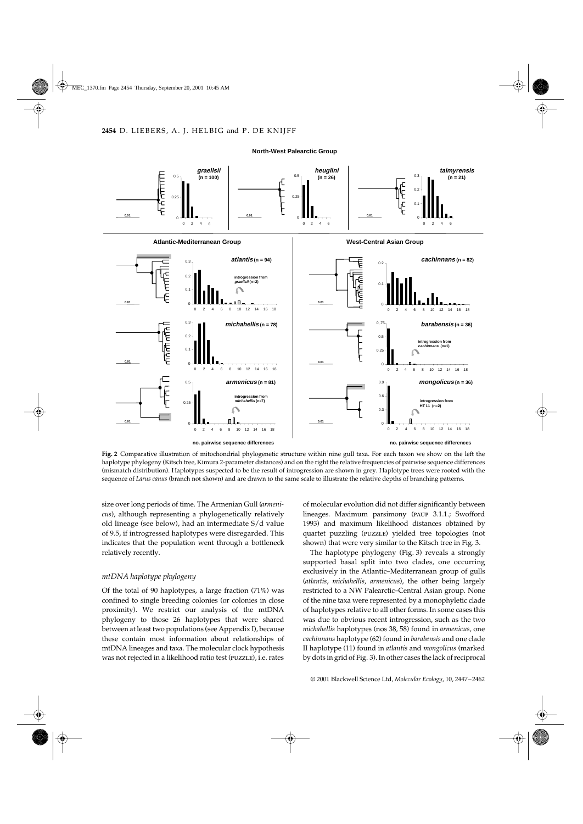#### **North-West Palearctic Group**



**Fig. 2** Comparative illustration of mitochondrial phylogenetic structure within nine gull taxa. For each taxon we show on the left the haplotype phylogeny (Kitsch tree, Kimura 2-parameter distances) and on the right the relative frequencies of pairwise sequence differences (mismatch distribution). Haplotypes suspected to be the result of introgression are shown in grey. Haplotype trees were rooted with the sequence of *Larus canus* (branch not shown) and are drawn to the same scale to illustrate the relative depths of branching patterns.

size over long periods of time. The Armenian Gull (*armenicus*), although representing a phylogenetically relatively old lineage (see below), had an intermediate S/d value of 9.5, if introgressed haplotypes were disregarded. This indicates that the population went through a bottleneck relatively recently.

# *mtDNA haplotype phylogeny*

Of the total of 90 haplotypes, a large fraction (71%) was confined to single breeding colonies (or colonies in close proximity). We restrict our analysis of the mtDNA phylogeny to those 26 haplotypes that were shared between at least two populations (see Appendix I), because these contain most information about relationships of mtDNA lineages and taxa. The molecular clock hypothesis was not rejected in a likelihood ratio test (puzzle), i.e. rates

of molecular evolution did not differ significantly between lineages. Maximum parsimony (paup 3.1.1.; Swofford 1993) and maximum likelihood distances obtained by quartet puzzling (puzzle) yielded tree topologies (not shown) that were very similar to the Kitsch tree in Fig. 3.

The haplotype phylogeny (Fig. 3) reveals a strongly supported basal split into two clades, one occurring exclusively in the Atlantic–Mediterranean group of gulls (*atlantis*, *michahellis*, *armenicus*), the other being largely restricted to a NW Palearctic–Central Asian group. None of the nine taxa were represented by a monophyletic clade of haplotypes relative to all other forms. In some cases this was due to obvious recent introgression, such as the two *michahellis* haplotypes (nos 38, 58) found in *armenicus*, one *cachinnans* haplotype (62) found in *barabensis* and one clade II haplotype (11) found in *atlantis* and *mongolicus* (marked by dots in grid of Fig. 3). In other cases the lack of reciprocal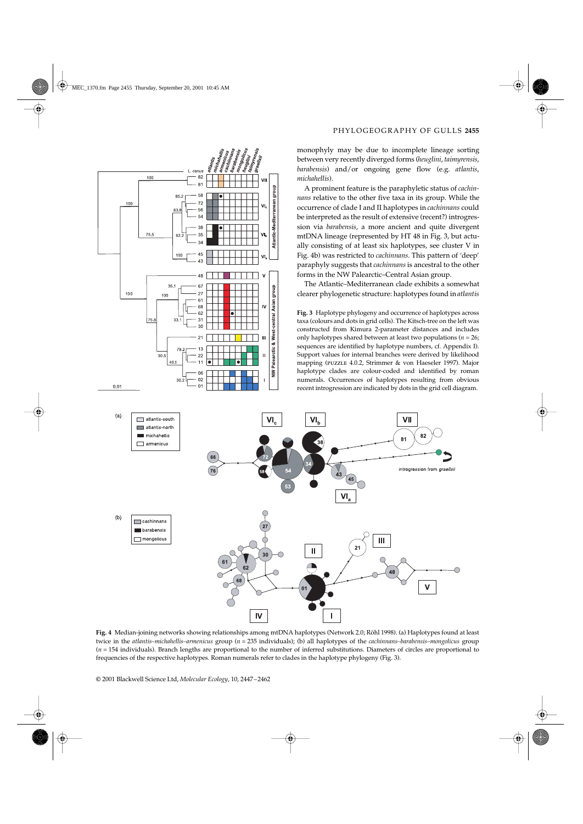

monophyly may be due to incomplete lineage sorting between very recently diverged forms (*heuglini*, *taimyrensis*, *barabensis*) and/or ongoing gene flow (e.g. *atlantis*, *michahellis*).

A prominent feature is the paraphyletic status of *cachinnans* relative to the other five taxa in its group. While the occurrence of clade I and II haplotypes in *cachinnans* could be interpreted as the result of extensive (recent?) introgression via *barabensis*, a more ancient and quite divergent mtDNA lineage (represented by HT 48 in Fig. 3, but actually consisting of at least six haplotypes, see cluster V in Fig. 4b) was restricted to *cachinnans*. This pattern of 'deep' paraphyly suggests that *cachinnans* is ancestral to the other forms in the NW Palearctic–Central Asian group.

The Atlantic–Mediterranean clade exhibits a somewhat clearer phylogenetic structure: haplotypes found in *atlantis*

**Fig. 3** Haplotype phylogeny and occurrence of haplotypes across taxa (colours and dots in grid cells). The Kitsch-tree on the left was constructed from Kimura 2-parameter distances and includes only haplotypes shared between at least two populations (*n* = 26; sequences are identified by haplotype numbers, cf. Appendix I). Support values for internal branches were derived by likelihood mapping (puzzle 4.0.2, Strimmer & von Haeseler 1997). Major haplotype clades are colour-coded and identified by roman numerals. Occurrences of haplotypes resulting from obvious recent introgression are indicated by dots in the grid cell diagram.



**Fig. 4** Median-joining networks showing relationships among mtDNA haplotypes (Network 2.0; Röhl 1998). (a) Haplotypes found at least twice in the *atlantis–michahellis–armenicus* group (*n* = 235 individuals); (b) all haplotypes of the *cachinnans–barabensis–mongolicus* group (*n* = 154 individuals). Branch lengths are proportional to the number of inferred substitutions. Diameters of circles are proportional to frequencies of the respective haplotypes. Roman numerals refer to clades in the haplotype phylogeny (Fig. 3).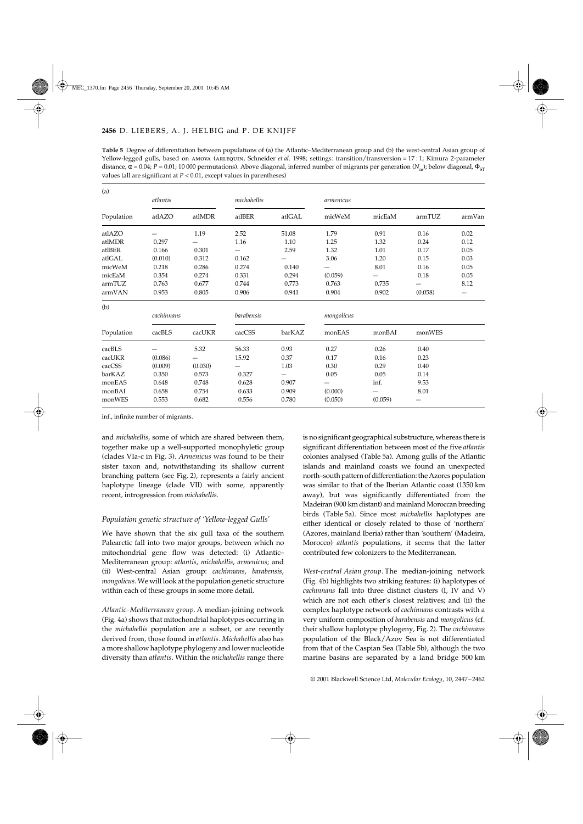| <b>Table 5</b> Degree of differentiation between populations of (a) the Atlantic–Mediterranean group and (b) the west-central Asian group of                      |
|-------------------------------------------------------------------------------------------------------------------------------------------------------------------|
| Yellow-legged gulls, based on AMOVA (ARLEQUIN, Schneider <i>et al.</i> 1998; settings: transition/transversion = 17:1; Kimura 2-parameter                         |
| distance, α = 0.04; P = 0.01; 10 000 permutations). Above diagonal, inferred number of migrants per generation (N <sub>m</sub> ); below diagonal, Φ <sub>ST</sub> |
| values (all are significant at $P < 0.01$ , except values in parentheses)                                                                                         |

| (a)        |            |         |             |        |            |         |         |        |
|------------|------------|---------|-------------|--------|------------|---------|---------|--------|
|            | atlantis   |         | michahellis |        | armenicus  |         |         |        |
| Population | atlAZO     | atlMDR  | atlBER      | atlGAL | micWeM     | micEaM  | armTUZ  | armVan |
| atlAZO     |            | 1.19    | 2.52        | 51.08  | 1.79       | 0.91    | 0.16    | 0.02   |
| atlMDR     | 0.297      |         | 1.16        | 1.10   | 1.25       | 1.32    | 0.24    | 0.12   |
| atlBER     | 0.166      | 0.301   |             | 2.59   | 1.32       | 1.01    | 0.17    | 0.05   |
| atlGAL     | (0.010)    | 0.312   | 0.162       |        | 3.06       | 1.20    | 0.15    | 0.03   |
| micWeM     | 0.218      | 0.286   | 0.274       | 0.140  |            | 8.01    | 0.16    | 0.05   |
| micEaM     | 0.354      | 0.274   | 0.331       | 0.294  | (0.059)    |         | 0.18    | 0.05   |
| armTUZ     | 0.763      | 0.677   | 0.744       | 0.773  | 0.763      | 0.735   |         | 8.12   |
| armVAN     | 0.953      | 0.805   | 0.906       | 0.941  | 0.904      | 0.902   | (0.058) | —      |
| (b)        |            |         |             |        |            |         |         |        |
|            | cachinnans |         | barabensis  |        | mongolicus |         |         |        |
| Population | cacBLS     | cacUKR  | cacCSS      | barKAZ | monEAS     | monBAI  | monWES  |        |
| cacBLS     |            | 5.32    | 56.33       | 0.93   | 0.27       | 0.26    | 0.40    |        |
| cacUKR     | (0.086)    |         | 15.92       | 0.37   | 0.17       | 0.16    | 0.23    |        |
| cacCSS     | (0.009)    | (0.030) |             | 1.03   | 0.30       | 0.29    | 0.40    |        |
| barKAZ     | 0.350      | 0.573   | 0.327       |        | 0.05       | 0.05    | 0.14    |        |
| monEAS     | 0.648      | 0.748   | 0.628       | 0.907  |            | inf.    | 9.53    |        |
| monBAI     | 0.658      | 0.754   | 0.633       | 0.909  | (0.000)    |         | 8.01    |        |
| monWES     | 0.553      | 0.682   | 0.556       | 0.780  | (0.050)    | (0.059) |         |        |

inf., infinite number of migrants.

and *michahellis*, some of which are shared between them, together make up a well-supported monophyletic group (clades VIa-c in Fig. 3). *Armenicus* was found to be their sister taxon and, notwithstanding its shallow current branching pattern (see Fig. 2), represents a fairly ancient haplotype lineage (clade VII) with some, apparently recent, introgression from *michahellis*.

# *Population genetic structure of 'Yellow-legged Gulls'*

We have shown that the six gull taxa of the southern Palearctic fall into two major groups, between which no mitochondrial gene flow was detected: (i) Atlantic– Mediterranean group: *atlantis*, *michahellis*, *armenicus*; and (ii) West-central Asian group: *cachinnans*, *barabensis*, *mongolicus*. We will look at the population genetic structure within each of these groups in some more detail.

*Atlantic–Mediterranean group.* A median-joining network (Fig. 4a) shows that mitochondrial haplotypes occurring in the *michahellis* population are a subset, or are recently derived from, those found in *atlantis. Michahellis* also has a more shallow haplotype phylogeny and lower nucleotide diversity than *atlantis*. Within the *michahellis* range there

is no significant geographical substructure, whereas there is significant differentiation between most of the five *atlantis* colonies analysed (Table 5a). Among gulls of the Atlantic islands and mainland coasts we found an unexpected north–south pattern of differentiation: the Azores population was similar to that of the Iberian Atlantic coast (1350 km away), but was significantly differentiated from the Madeiran (900 km distant) and mainland Moroccan breeding birds (Table 5a). Since most *michahellis* haplotypes are either identical or closely related to those of 'northern' (Azores, mainland Iberia) rather than 'southern' (Madeira, Morocco) *atlantis* populations, it seems that the latter contributed few colonizers to the Mediterranean.

*West-central Asian group.* The median-joining network (Fig. 4b) highlights two striking features: (i) haplotypes of *cachinnans* fall into three distinct clusters (I, IV and V) which are not each other's closest relatives; and (ii) the complex haplotype network of *cachinnans* contrasts with a very uniform composition of *barabensis* and *mongolicus* (cf. their shallow haplotype phylogeny, Fig. 2). The *cachinnans* population of the Black/Azov Sea is not differentiated from that of the Caspian Sea (Table 5b), although the two marine basins are separated by a land bridge 500 km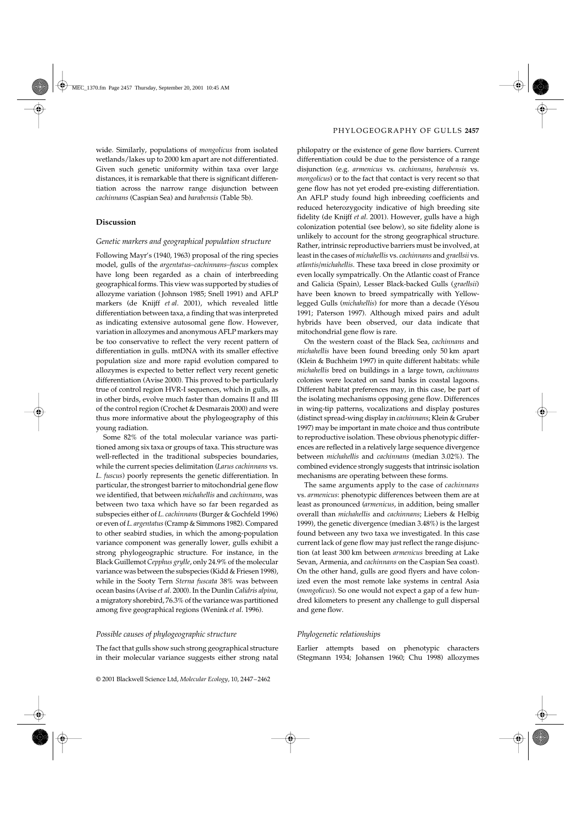# **Discussion**

## *Genetic markers and geographical population structure*

Following Mayr's (1940, 1963) proposal of the ring species model, gulls of the *argentatus–cachinnans–fuscus* complex have long been regarded as a chain of interbreeding geographical forms. This view was supported by studies of allozyme variation ( Johnson 1985; Snell 1991) and AFLP markers (de Knijff *et al*. 2001), which revealed little differentiation between taxa, a finding that was interpreted as indicating extensive autosomal gene flow. However, variation in allozymes and anonymous AFLP markers may be too conservative to reflect the very recent pattern of differentiation in gulls. mtDNA with its smaller effective population size and more rapid evolution compared to allozymes is expected to better reflect very recent genetic differentiation (Avise 2000). This proved to be particularly true of control region HVR-I sequences, which in gulls, as in other birds, evolve much faster than domains II and III of the control region (Crochet & Desmarais 2000) and were thus more informative about the phylogeography of this young radiation.

Some 82% of the total molecular variance was partitioned among six taxa or groups of taxa. This structure was well-reflected in the traditional subspecies boundaries, while the current species delimitation (*Larus cachinnans* vs. *L. fuscus*) poorly represents the genetic differentiation. In particular, the strongest barrier to mitochondrial gene flow we identified, that between *michahellis* and *cachinnans*, was between two taxa which have so far been regarded as subspecies either of *L. cachinnans* (Burger & Gochfeld 1996) or even of *L. argentatus* (Cramp & Simmons 1982). Compared to other seabird studies, in which the among-population variance component was generally lower, gulls exhibit a strong phylogeographic structure. For instance, in the Black Guillemot *Cepphus grylle*, only 24.9% of the molecular variance was between the subspecies (Kidd & Friesen 1998), while in the Sooty Tern *Sterna fuscata* 38% was between ocean basins (Avise *et al*. 2000). In the Dunlin *Calidris alpina*, a migratory shorebird, 76.3% of the variance was partitioned among five geographical regions (Wenink *et al*. 1996).

## *Possible causes of phylogeographic structure*

The fact that gulls show such strong geographical structure in their molecular variance suggests either strong natal

philopatry or the existence of gene flow barriers. Current differentiation could be due to the persistence of a range disjunction (e.g. *armenicus* vs. *cachinnans*, *barabensis* vs. *mongolicus*) or to the fact that contact is very recent so that gene flow has not yet eroded pre-existing differentiation. An AFLP study found high inbreeding coefficients and reduced heterozygocity indicative of high breeding site fidelity (de Knijff *et al*. 2001). However, gulls have a high colonization potential (see below), so site fidelity alone is unlikely to account for the strong geographical structure. Rather, intrinsic reproductive barriers must be involved, at least in the cases of *michahellis* vs. *cachinnans* and *graellsii* vs. *atlantis/michahellis*. These taxa breed in close proximity or even locally sympatrically. On the Atlantic coast of France and Galicia (Spain), Lesser Black-backed Gulls (*graellsii*) have been known to breed sympatrically with Yellowlegged Gulls (*michahellis*) for more than a decade (Yésou 1991; Paterson 1997). Although mixed pairs and adult hybrids have been observed, our data indicate that mitochondrial gene flow is rare.

On the western coast of the Black Sea, *cachinnans* and *michahellis* have been found breeding only 50 km apart (Klein & Buchheim 1997) in quite different habitats: while *michahellis* bred on buildings in a large town, *cachinnans* colonies were located on sand banks in coastal lagoons. Different habitat preferences may, in this case, be part of the isolating mechanisms opposing gene flow. Differences in wing-tip patterns, vocalizations and display postures (distinct spread-wing display in *cachinnans*; Klein & Gruber 1997) may be important in mate choice and thus contribute to reproductive isolation. These obvious phenotypic differences are reflected in a relatively large sequence divergence between *michahellis* and *cachinnans* (median 3.02%). The combined evidence strongly suggests that intrinsic isolation mechanisms are operating between these forms.

The same arguments apply to the case of *cachinnans* vs. *armenicus*: phenotypic differences between them are at least as pronounced (*armenicus*, in addition, being smaller overall than *michahellis* and *cachinnans*; Liebers & Helbig 1999), the genetic divergence (median 3.48%) is the largest found between any two taxa we investigated. In this case current lack of gene flow may just reflect the range disjunction (at least 300 km between *armenicus* breeding at Lake Sevan, Armenia, and *cachinnans* on the Caspian Sea coast). On the other hand, gulls are good flyers and have colonized even the most remote lake systems in central Asia (*mongolicus*). So one would not expect a gap of a few hundred kilometers to present any challenge to gull dispersal and gene flow.

## *Phylogenetic relationships*

Earlier attempts based on phenotypic characters (Stegmann 1934; Johansen 1960; Chu 1998) allozymes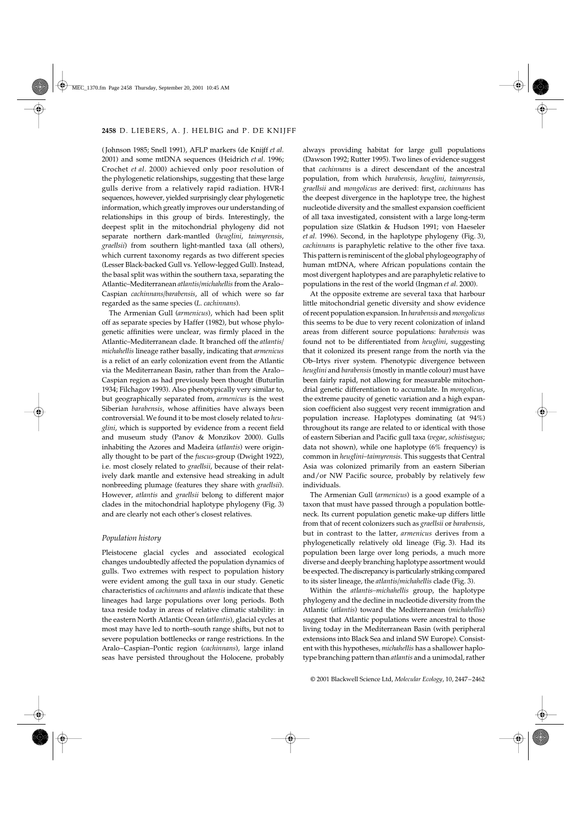( Johnson 1985; Snell 1991), AFLP markers (de Knijff *et al*. 2001) and some mtDNA sequences (Heidrich *et al*. 1996; Crochet *et al*. 2000) achieved only poor resolution of the phylogenetic relationships, suggesting that these large gulls derive from a relatively rapid radiation. HVR-I sequences, however, yielded surprisingly clear phylogenetic information, which greatly improves our understanding of relationships in this group of birds. Interestingly, the deepest split in the mitochondrial phylogeny did not separate northern dark-mantled (*heuglini*, *taimyrensis*, *graellsii*) from southern light-mantled taxa (all others), which current taxonomy regards as two different species (Lesser Black-backed Gull vs. Yellow-legged Gull). Instead, the basal split was within the southern taxa, separating the Atlantic–Mediterranean *atlantis/michahellis* from the Aralo– Caspian *cachinnans/barabensis*, all of which were so far regarded as the same species (*L. cachinnans*).

The Armenian Gull (*armenicus*), which had been split off as separate species by Haffer (1982), but whose phylogenetic affinities were unclear, was firmly placed in the Atlantic–Mediterranean clade. It branched off the *atlantis/ michahellis* lineage rather basally, indicating that *armenicus* is a relict of an early colonization event from the Atlantic via the Mediterranean Basin, rather than from the Aralo– Caspian region as had previously been thought (Buturlin 1934; Filchagov 1993). Also phenotypically very similar to, but geographically separated from, *armenicus* is the west Siberian *barabensis*, whose affinities have always been controversial. We found it to be most closely related to *heuglini*, which is supported by evidence from a recent field and museum study (Panov & Monzikov 2000). Gulls inhabiting the Azores and Madeira (*atlantis*) were originally thought to be part of the *fuscus*-group (Dwight 1922), i.e. most closely related to *graellsii*, because of their relatively dark mantle and extensive head streaking in adult nonbreeding plumage (features they share with *graellsii*). However, *atlantis* and *graellsii* belong to different major clades in the mitochondrial haplotype phylogeny (Fig. 3) and are clearly not each other's closest relatives.

## *Population history*

Pleistocene glacial cycles and associated ecological changes undoubtedly affected the population dynamics of gulls. Two extremes with respect to population history were evident among the gull taxa in our study. Genetic characteristics of *cachinnans* and *atlantis* indicate that these lineages had large populations over long periods. Both taxa reside today in areas of relative climatic stability: in the eastern North Atlantic Ocean (*atlantis*), glacial cycles at most may have led to north–south range shifts, but not to severe population bottlenecks or range restrictions. In the Aralo–Caspian–Pontic region (*cachinnans*), large inland seas have persisted throughout the Holocene, probably

always providing habitat for large gull populations (Dawson 1992; Rutter 1995). Two lines of evidence suggest that *cachinnans* is a direct descendant of the ancestral population, from which *barabensis*, *heuglini*, *taimyrensis*, *graellsii* and *mongolicus* are derived: first, *cachinnans* has the deepest divergence in the haplotype tree, the highest nucleotide diversity and the smallest expansion coefficient of all taxa investigated, consistent with a large long-term population size (Slatkin & Hudson 1991; von Haeseler *et al*. 1996). Second, in the haplotype phylogeny (Fig. 3), *cachinnans* is paraphyletic relative to the other five taxa. This pattern is reminiscent of the global phylogeography of human mtDNA, where African populations contain the most divergent haplotypes and are paraphyletic relative to populations in the rest of the world (Ingman *et al*. 2000).

At the opposite extreme are several taxa that harbour little mitochondrial genetic diversity and show evidence of recent population expansion. In *barabensis* and *mongolicus* this seems to be due to very recent colonization of inland areas from different source populations: *barabensis* was found not to be differentiated from *heuglini*, suggesting that it colonized its present range from the north via the Ob–Irtys river system. Phenotypic divergence between *heuglini* and *barabensis* (mostly in mantle colour) must have been fairly rapid, not allowing for measurable mitochondrial genetic differentiation to accumulate. In *mongolicus*, the extreme paucity of genetic variation and a high expansion coefficient also suggest very recent immigration and population increase. Haplotypes dominating (at 94%) throughout its range are related to or identical with those of eastern Siberian and Pacific gull taxa (*vegae*, *schistisagus*; data not shown), while one haplotype (6% frequency) is common in *heuglini–taimyrensis*. This suggests that Central Asia was colonized primarily from an eastern Siberian and/or NW Pacific source, probably by relatively few individuals.

The Armenian Gull (*armenicus*) is a good example of a taxon that must have passed through a population bottleneck. Its current population genetic make-up differs little from that of recent colonizers such as *graellsii* or *barabensis*, but in contrast to the latter, *armenicus* derives from a phylogenetically relatively old lineage (Fig. 3). Had its population been large over long periods, a much more diverse and deeply branching haplotype assortment would be expected. The discrepancy is particularly striking compared to its sister lineage, the *atlantis/michahellis* clade (Fig. 3).

Within the *atlantis–michahellis* group, the haplotype phylogeny and the decline in nucleotide diversity from the Atlantic (*atlantis*) toward the Mediterranean (*michahellis*) suggest that Atlantic populations were ancestral to those living today in the Mediterranean Basin (with peripheral extensions into Black Sea and inland SW Europe). Consistent with this hypotheses, *michahellis* has a shallower haplotype branching pattern than *atlantis* and a unimodal, rather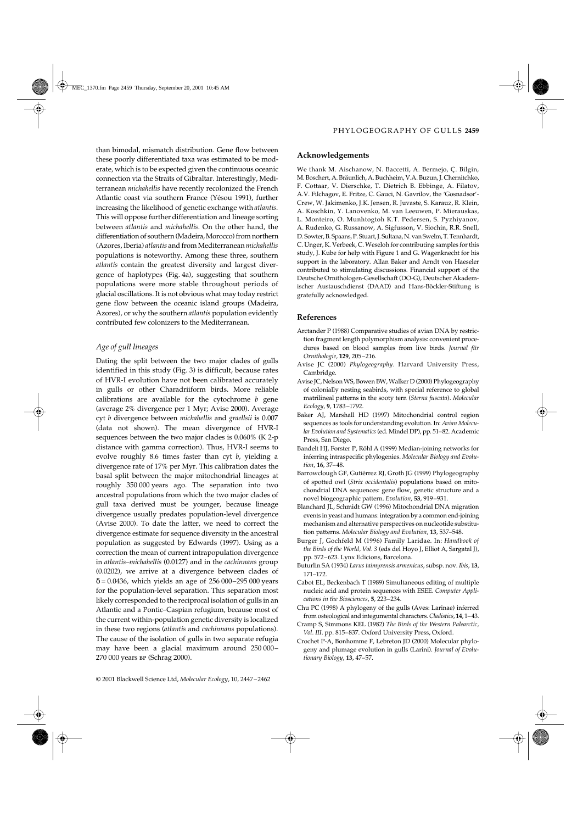than bimodal, mismatch distribution. Gene flow between these poorly differentiated taxa was estimated to be moderate, which is to be expected given the continuous oceanic connection via the Straits of Gibraltar. Interestingly, Mediterranean *michahellis* have recently recolonized the French Atlantic coast via southern France (Yésou 1991), further increasing the likelihood of genetic exchange with *atlantis*. This will oppose further differentiation and lineage sorting between *atlantis* and *michahellis*. On the other hand, the differentiation of southern (Madeira, Morocco) from northern (Azores, Iberia) *atlantis* and from Mediterranean *michahellis* populations is noteworthy. Among these three, southern *atlantis* contain the greatest diversity and largest divergence of haplotypes (Fig. 4a), suggesting that southern populations were more stable throughout periods of glacial oscillations. It is not obvious what may today restrict gene flow between the oceanic island groups (Madeira, Azores), or why the southern *atlantis* population evidently contributed few colonizers to the Mediterranean.

# *Age of gull lineages*

Dating the split between the two major clades of gulls identified in this study (Fig. 3) is difficult, because rates of HVR-I evolution have not been calibrated accurately in gulls or other Charadriiform birds. More reliable calibrations are available for the cytochrome *b* gene (average 2% divergence per 1 Myr; Avise 2000). Average cyt *b* divergence between *michahellis* and *graellsii* is 0.007 (data not shown). The mean divergence of HVR-I sequences between the two major clades is 0.060% (K 2-p distance with gamma correction). Thus, HVR-I seems to evolve roughly 8.6 times faster than cyt *b*, yielding a divergence rate of 17% per Myr. This calibration dates the basal split between the major mitochondrial lineages at roughly 350 000 years ago. The separation into two ancestral populations from which the two major clades of gull taxa derived must be younger, because lineage divergence usually predates population-level divergence (Avise 2000). To date the latter, we need to correct the divergence estimate for sequence diversity in the ancestral population as suggested by Edwards (1997). Using as a correction the mean of current intrapopulation divergence in *atlantis–michahellis* (0.0127) and in the *cachinnans* group (0.0202), we arrive at a divergence between clades of δ = 0.0436, which yields an age of 256 000–295 000 years for the population-level separation. This separation most likely corresponded to the reciprocal isolation of gulls in an Atlantic and a Pontic–Caspian refugium, because most of the current within-population genetic diversity is localized in these two regions (*atlantis* and *cachinnans* populations). The cause of the isolation of gulls in two separate refugia may have been a glacial maximum around 250 000– 270 000 years bp (Schrag 2000).

# **Acknowledgements**

We thank M. Aischanow, N. Baccetti, A. Bermejo, Ç. Bilgin, M. Boschert, A. Bräunlich, A. Buchheim, V.A. Buzun, J. Chernitchko, F. Cottaar, V. Dierschke, T. Dietrich B. Ebbinge, A. Filatov, A.V. Filchagov, E. Fritze, C. Gauci, N. Gavrilov, the 'Gosnadsor'- Crew, W. Jakimenko, J.K. Jensen, R. Juvaste, S. Karauz, R. Klein, A. Koschkin, Y. Lanovenko, M. van Leeuwen, P. Mierauskas, L. Monteiro, O. Munhtogtoh K.T. Pedersen, S. Pyzhiyanov, A. Rudenko, G. Russanow, A. Sigfusson, V. Siochin, R.R. Snell, D. Sowter, B. Spaans, P. Stuart, J. Sultana, N. van Swelm, T. Tennhardt, C. Unger, K. Verbeek, C. Weseloh for contributing samples for this study, J. Kube for help with Figure 1 and G. Wagenknecht for his support in the laboratory. Allan Baker and Arndt von Haeseler contributed to stimulating discussions. Financial support of the Deutsche Ornithologen-Gesellschaft (DO-G), Deutscher Akademischer Austauschdienst (DAAD) and Hans-Böckler-Stiftung is gratefully acknowledged.

# **References**

- Arctander P (1988) Comparative studies of avian DNA by restriction fragment length polymorphism analysis: convenient procedures based on blood samples from live birds. *Journal für Ornithologie*, **129**, 205–216.
- Avise JC (2000) *Phylogeography*. Harvard University Press, Cambridge.
- Avise JC, Nelson WS, Bowen BW, Walker D (2000) Phylogeography of colonially nesting seabirds, with special reference to global matrilineal patterns in the sooty tern (*Sterna fuscata*). *Molecular Ecology*, **9**, 1783–1792.
- Baker AJ, Marshall HD (1997) Mitochondrial control region sequences as tools for understanding evolution. In: *Avian Molecular Evolution and Systematics* (ed. Mindel DP), pp. 51–82. Academic Press, San Diego.
- Bandelt HJ, Forster P, Röhl A (1999) Median-joining networks for inferring intraspecific phylogenies. *Molecular Biology and Evolution*, **16**, 37–48.
- Barrowclough GF, Gutiérrez RJ, Groth JG (1999) Phylogeography of spotted owl (*Strix occidentalis*) populations based on mitochondrial DNA sequences: gene flow, genetic structure and a novel biogeographic pattern. *Evolution*, **53**, 919–931.
- Blanchard JL, Schmidt GW (1996) Mitochondrial DNA migration events in yeast and humans: integration by a common end-joining mechanism and alternative perspectives on nucleotide substitution patterns. *Molecular Biology and Evolution*, **13**, 537–548.
- Burger J, Gochfeld M (1996) Family Laridae. In: *Handbook of the Birds of the World, Vol. 3* (eds del Hoyo J, Elliot A, Sargatal J), pp. 572–623. Lynx Edicions, Barcelona.
- Buturlin SA (1934) *Larus taimyrensis armenicus*, subsp. nov. *Ibis*, **13**, 171–172.
- Cabot EL, Beckenbach T (1989) Simultaneous editing of multiple nucleic acid and protein sequences with ESEE. *Computer Applications in the Biosciences*, **5**, 223–234.
- Chu PC (1998) A phylogeny of the gulls (Aves: Larinae) inferred from osteological and integumental characters. *Cladistics*, **14**, 1–43.
- Cramp S, Simmons KEL (1982) *The Birds of the Western Palearctic, Vol. III*. pp. 815–837. Oxford University Press, Oxford.
- Crochet P-A, Bonhomme F, Lebreton JD (2000) Molecular phylogeny and plumage evolution in gulls (Larini). *Journal of Evolutionary Biology*, **13**, 47–57.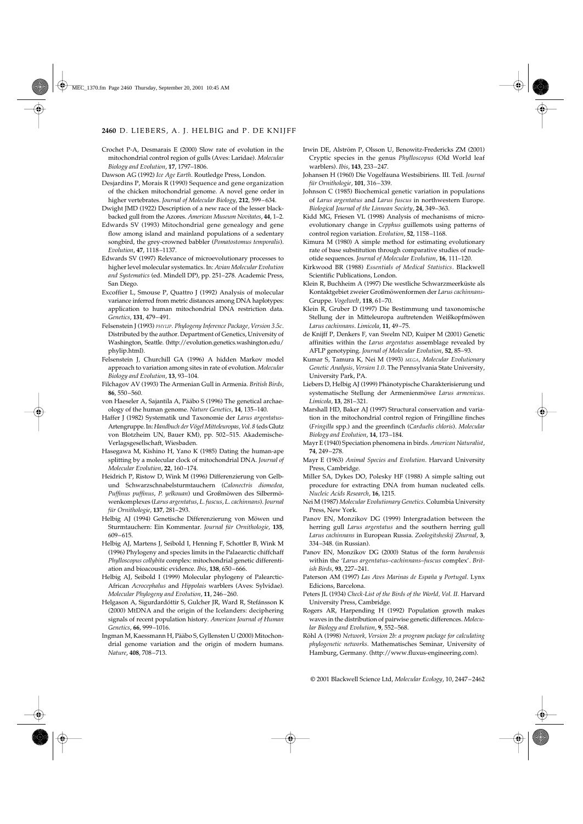Crochet P-A, Desmarais E (2000) Slow rate of evolution in the mitochondrial control region of gulls (Aves: Laridae). *Molecular Biology and Evolution*, **17**, 1797–1806.

- Desjardins P, Morais R (1990) Sequence and gene organization of the chicken mitochondrial genome. A novel gene order in higher vertebrates. *Journal of Molecular Biology*, **212**, 599–634.
- Dwight JMD (1922) Description of a new race of the lesser blackbacked gull from the Azores. *American Museum Novitates*, **44**, 1–2.
- Edwards SV (1993) Mitochondrial gene genealogy and gene flow among island and mainland populations of a sedentary songbird, the grey-crowned babbler (*Pomatostomus temporalis*). *Evolution*, **47**, 1118–1137.
- Edwards SV (1997) Relevance of microevolutionary processes to higher level molecular systematics. In: *Avian Molecular Evolution and Systematics* (ed. Mindell DP), pp. 251–278. Academic Press, San Diego.
- Excoffier L, Smouse P, Quattro J (1992) Analysis of molecular variance inferred from metric distances among DNA haplotypes: application to human mitochondrial DNA restriction data. *Genetics*, **131**, 479–491.
- Felsenstein J (1993) *PHYLIP. Phylogeny Inference Package, Version 3.5c*. Distributed by the author. Department of Genetics, University of Washington, Seattle. (http://evolution.genetics.washington.edu/ phylip.html).
- Felsenstein J, Churchill GA (1996) A hidden Markov model approach to variation among sites in rate of evolution. *Molecular Biology and Evolution*, **13**, 93–104.
- Filchagov AV (1993) The Armenian Gull in Armenia. *British Birds*, **86**, 550–560.
- von Haeseler A, Sajantila A, Pääbo S (1996) The genetical archaeology of the human genome. *Nature Genetics*, **14**, 135–140.
- Haffer J (1982) Systematik und Taxonomie der *Larus argentatus*-Artengruppe. In: *Handbuch der Vögel Mitteleuropas, Vol. 8* (eds Glutz von Blotzheim UN, Bauer KM), pp. 502–515. Akademische-Verlagsgesellschaft, Wiesbaden.
- Hasegawa M, Kishino H, Yano K (1985) Dating the human-ape splitting by a molecular clock of mitochondrial DNA. *Journal of Molecular Evolution*, **22**, 160–174.
- Heidrich P, Ristow D, Wink M (1996) Differenzierung von Gelbund Schwarzschnabelsturmtauchern (*Calonectris diomedea*, *Puffinus puffinus*, *P. yelkouan*) und Großmöwen des Silbermöwenkomplexes (*Larus argentatus*, *L. fuscus*, *L. cachinnans*). *Journal für Ornithologie*, **137**, 281–293.
- Helbig AJ (1994) Genetische Differenzierung von Möwen und Sturmtauchern: Ein Kommentar. *Journal für Ornithologie*, **135**, 609–615.
- Helbig AJ, Martens J, Seibold I, Henning F, Schottler B, Wink M (1996) Phylogeny and species limits in the Palaearctic chiffchaff *Phylloscopus collybita* complex: mitochondrial genetic differentiation and bioacoustic evidence. *Ibis*, **138**, 650–666.
- Helbig AJ, Seibold I (1999) Molecular phylogeny of Palearctic-African *Acrocephalus* and *Hippolais* warblers (Aves: Sylvidae). *Molecular Phylogeny and Evolution*, **11**, 246–260.
- Helgason A, Sigurdardóttir S, Gulcher JR, Ward R, Stefánsson K (2000) MtDNA and the origin of the Icelanders: deciphering signals of recent population history. *American Journal of Human Genetics*, **66**, 999–1016.
- Ingman M, Kaessmann H, Pääbo S, Gyllensten U (2000) Mitochondrial genome variation and the origin of modern humans. *Nature*, **408**, 708–713.
- Irwin DE, Alström P, Olsson U, Benowitz-Fredericks ZM (2001) Cryptic species in the genus *Phylloscopus* (Old World leaf warblers). *Ibis*, **143**, 233–247.
- Johansen H (1960) Die Vogelfauna Westsibiriens. III. Teil. *Journal für Ornithologie*, **101**, 316–339.
- Johnson C (1985) Biochemical genetic variation in populations of *Larus argentatus* and *Larus fuscus* in northwestern Europe. *Biological Journal of the Linnean Society*, **24**, 349–363.
- Kidd MG, Friesen VL (1998) Analysis of mechanisms of microevolutionary change in *Cepphus* guillemots using patterns of control region variation. *Evolution*, **52**, 1158–1168.
- Kimura M (1980) A simple method for estimating evolutionary rate of base substitution through comparative studies of nucleotide sequences. *Journal of Molecular Evolution*, **16**, 111–120.
- Kirkwood BR (1988) *Essentials of Medical Statistics*. Blackwell Scientific Publications, London.
- Klein R, Buchheim A (1997) Die westliche Schwarzmeerküste als Kontaktgebiet zweier Großmöwenformen der *Larus cachinnans*-Gruppe. *Vogelwelt*, **118**, 61–70.
- Klein R, Gruber D (1997) Die Bestimmung und taxonomische Stellung der in Mitteleuropa auftretenden Weißkopfmöwen *Larus cachinnans*. *Limicola*, **11**, 49–75.
- de Knijff P, Denkers F, van Swelm ND, Kuiper M (2001) Genetic affinities within the *Larus argentatus* assemblage revealed by AFLP genotyping. *Journal of Molecular Evolution*, **52**, 85–93.
- Kumar S, Tamura K, Nei M (1993) *MEGA, Molecular Evolutionary Genetic Analysis, Version 1.0*. The Pennsylvania State University, University Park, PA.
- Liebers D, Helbig AJ (1999) Phänotypische Charakterisierung und systematische Stellung der Armenienmöwe *Larus armenicus*. *Limicola*, **13**, 281–321.
- Marshall HD, Baker AJ (1997) Structural conservation and variation in the mitochondrial control region of Fringilline finches (*Fringilla* spp.) and the greenfinch (*Carduelis chloris*). *Molecular Biology and Evolution*, **14**, 173–184.
- Mayr E (1940) Speciation phenomena in birds. *American Naturalist*, **74**, 249–278.
- Mayr E (1963) *Animal Species and Evolution*. Harvard University Press, Cambridge.
- Miller SA, Dykes DO, Polesky HF (1988) A simple salting out procedure for extracting DNA from human nucleated cells. *Nucleic Acids Research*, **16**, 1215.
- Nei M (1987) *Molecular Evolutionary Genetics*. Columbia University Press, New York.
- Panov EN, Monzikov DG (1999) Intergradation between the herring gull *Larus argentatus* and the southern herring gull *Larus cachinnans* in European Russia. *Zoologitsheskij Zhurnal*, **3**, 334–348. (in Russian).
- Panov EN, Monzikov DG (2000) Status of the form *barabensis* within the '*Larus argentatus*–*cachinnans*–*fuscus* complex'. *British Birds*, **93**, 227–241.
- Paterson AM (1997) *Las Aves Marinas de España y Portugal*. Lynx Edicions, Barcelona.
- Peters JL (1934) *Check-List of the Birds of the World, Vol. II*. Harvard University Press, Cambridge.
- Rogers AR, Harpending H (1992) Population growth makes waves in the distribution of pairwise genetic differences. *Molecular Biology and Evolution*, **9**, 552–568.
- Röhl A (1998) *Network, Version 2b: a program package for calculating phylogenetic networks*. Mathematisches Seminar, University of Hamburg, Germany. (http://www.fluxus-engineering.com).

Dawson AG (1992) *Ice Age Earth*. Routledge Press, London.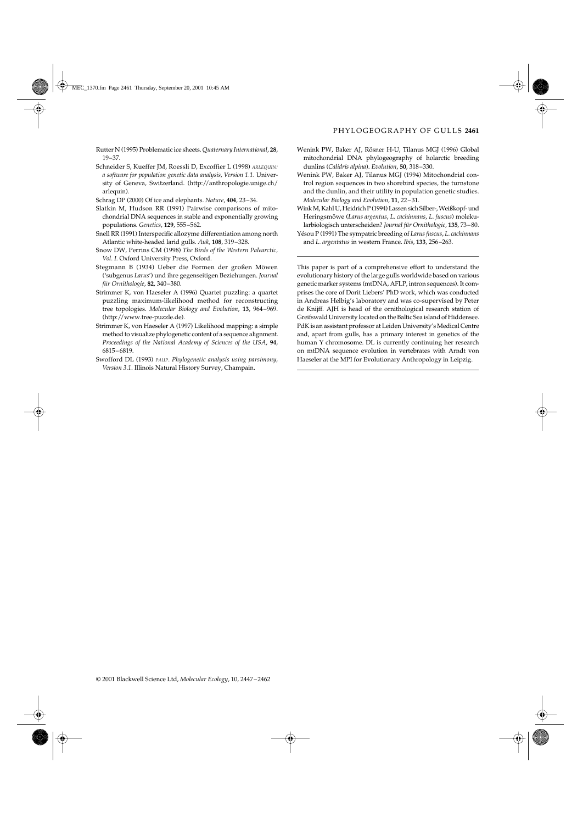Rutter N (1995) Problematic ice sheets. *Quaternary International*, **28**, 19–37.

- Schneider S, Kueffer JM, Roessli D, Excoffier L (1998) *ARLEQUIN: a software for population genetic data analysis, Version 1.1*. University of Geneva, Switzerland. (http://anthropologie.unige.ch/ arlequin).
- Schrag DP (2000) Of ice and elephants. *Nature*, **404**, 23–34.
- Slatkin M, Hudson RR (1991) Pairwise comparisons of mitochondrial DNA sequences in stable and exponentially growing populations. *Genetics*, **129**, 555–562.
- Snell RR (1991) Interspecific allozyme differentiation among north Atlantic white-headed larid gulls. *Auk*, **108**, 319–328.
- Snow DW, Perrins CM (1998) *The Birds of the Western Palearctic, Vol. I*. Oxford University Press, Oxford.
- Stegmann B (1934) Ueber die Formen der großen Möwen ('subgenus *Larus*') und ihre gegenseitigen Beziehungen. *Journal für Ornithologie*, **82**, 340–380.
- Strimmer K, von Haeseler A (1996) Quartet puzzling: a quartet puzzling maximum-likelihood method for reconstructing tree topologies. *Molecular Biology and Evolution*, **13**, 964–969. (http://www.tree-puzzle.de).
- Strimmer K, von Haeseler A (1997) Likelihood mapping: a simple method to visualize phylogenetic content of a sequence alignment. *Proceedings of the National Academy of Sciences of the USA*, **94**, 6815–6819.
- Swofford DL (1993) *PAUP. Phylogenetic analysis using parsimony, Version 3.1*. Illinois Natural History Survey, Champain.
- Wenink PW, Baker AJ, Rösner H-U, Tilanus MGJ (1996) Global mitochondrial DNA phylogeography of holarctic breeding dunlins (*Calidris alpina*). *Evolution*, **50**, 318–330.
- Wenink PW, Baker AJ, Tilanus MGJ (1994) Mitochondrial control region sequences in two shorebird species, the turnstone and the dunlin, and their utility in population genetic studies. *Molecular Biology and Evolution*, **11**, 22–31.
- Wink M, Kahl U, Heidrich P (1994) Lassen sich Silber-, Weißkopf- und Heringsmöwe (*Larus argentus*, *L. cachinnans*, *L. fuscus*) molekularbiologisch unterscheiden? *Journal für Ornithologie*, **135**, 73–80.
- Yésou P (1991) The sympatric breeding of *Larus fuscus*, *L. cachinnans* and *L. argentatus* in western France. *Ibis*, **133**, 256–263.

This paper is part of a comprehensive effort to understand the evolutionary history of the large gulls worldwide based on various genetic marker systems (mtDNA, AFLP, intron sequences). It comprises the core of Dorit Liebers' PhD work, which was conducted in Andreas Helbig's laboratory and was co-supervised by Peter de Knijff. AJH is head of the ornithological research station of Greifswald University located on the Baltic Sea island of Hiddensee. PdK is an assistant professor at Leiden University's Medical Centre and, apart from gulls, has a primary interest in genetics of the human Y chromosome. DL is currently continuing her research on mtDNA sequence evolution in vertebrates with Arndt von Haeseler at the MPI for Evolutionary Anthropology in Leipzig.